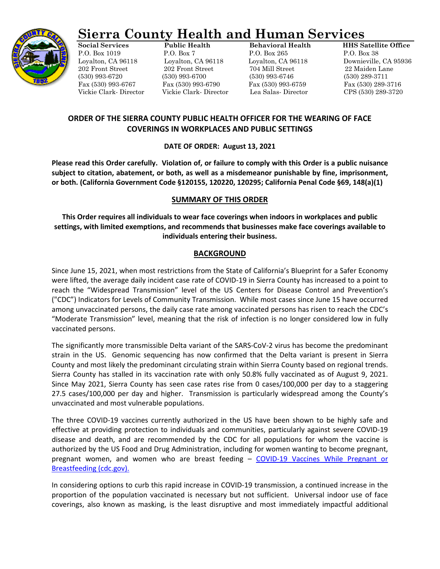

# **Sierra County Health and Human Services**

Loyalton, CA 96118 Loyalton, CA 96118 Loyalton, CA 96118 Downieville, CA 95936 (530) 993-6720 (530) 993-6700 (530) 993-6746 (530) 289-3711 Fax (530) 993-6767 Fax (530) 993-6790 Fax (530) 993-6759 Fax (530) 289-3716

**Social Services Public Health Behavioral Health HHS Satellite Office** P.O. Box 1019 P.O. Box 7 P.O. Box 265 P.O. Box 38 202 Front Street 202 Front Street 704 Mill Street 22 Maiden Lane Vickie Clark- Director Vickie Clark- Director Lea Salas- Director CPS (530) 289-3720

# **ORDER OF THE SIERRA COUNTY PUBLIC HEALTH OFFICER FOR THE WEARING OF FACE COVERINGS IN WORKPLACES AND PUBLIC SETTINGS**

## **DATE OF ORDER: August 13, 2021**

**Please read this Order carefully. Violation of, or failure to comply with this Order is a public nuisance subject to citation, abatement, or both, as well as a misdemeanor punishable by fine, imprisonment, or both. (California Government Code §120155, 120220, 120295; California Penal Code §69, 148(a)(1)**

# **SUMMARY OF THIS ORDER**

**This Order requires all individuals to wear face coverings when indoors in workplaces and public settings, with limited exemptions, and recommends that businesses make face coverings available to individuals entering their business.**

## **BACKGROUND**

Since June 15, 2021, when most restrictions from the State of California's Blueprint for a Safer Economy were lifted, the average daily incident case rate of COVID-19 in Sierra County has increased to a point to reach the "Widespread Transmission" level of the US Centers for Disease Control and Prevention's ("CDC") Indicators for Levels of Community Transmission. While most cases since June 15 have occurred among unvaccinated persons, the daily case rate among vaccinated persons has risen to reach the CDC's "Moderate Transmission" level, meaning that the risk of infection is no longer considered low in fully vaccinated persons.

The significantly more transmissible Delta variant of the SARS-CoV-2 virus has become the predominant strain in the US. Genomic sequencing has now confirmed that the Delta variant is present in Sierra County and most likely the predominant circulating strain within Sierra County based on regional trends. Sierra County has stalled in its vaccination rate with only 50.8% fully vaccinated as of August 9, 2021. Since May 2021, Sierra County has seen case rates rise from 0 cases/100,000 per day to a staggering 27.5 cases/100,000 per day and higher. Transmission is particularly widespread among the County's unvaccinated and most vulnerable populations.

The three COVID-19 vaccines currently authorized in the US have been shown to be highly safe and effective at providing protection to individuals and communities, particularly against severe COVID-19 disease and death, and are recommended by the CDC for all populations for whom the vaccine is authorized by the US Food and Drug Administration, including for women wanting to become pregnant, pregnant women, and women who are breast feeding – [COVID-19 Vaccines While Pregnant or](https://www.cdc.gov/coronavirus/2019-ncov/vaccines/recommendations/pregnancy.html)  [Breastfeeding \(cdc.gov\).](https://www.cdc.gov/coronavirus/2019-ncov/vaccines/recommendations/pregnancy.html)

In considering options to curb this rapid increase in COVID-19 transmission, a continued increase in the proportion of the population vaccinated is necessary but not sufficient. Universal indoor use of face coverings, also known as masking, is the least disruptive and most immediately impactful additional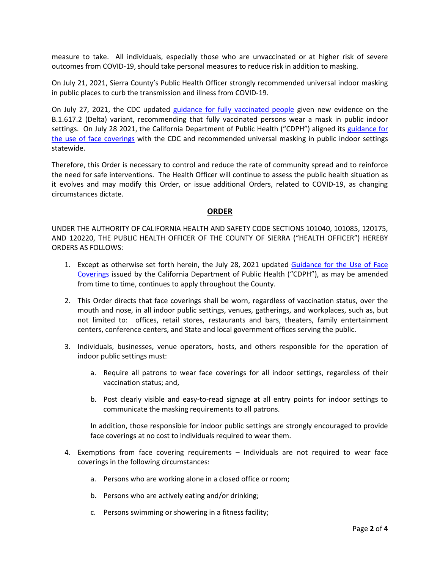measure to take. All individuals, especially those who are unvaccinated or at higher risk of severe outcomes from COVID-19, should take personal measures to reduce risk in addition to masking.

On July 21, 2021, Sierra County's Public Health Officer strongly recommended universal indoor masking in public places to curb the transmission and illness from COVID-19.

On July 27, 2021, the CDC updated [guidance for fully vaccinated people](https://www.cdc.gov/coronavirus/2019-ncov/vaccines/fully-vaccinated-guidance.html) given new evidence on the B.1.617.2 (Delta) variant, recommending that fully vaccinated persons wear a mask in public indoor settings. On July 28 2021, the California Department of Public Health ("CDPH") aligned its guidance for [the use of face coverings](https://www.cdph.ca.gov/Programs/CID/DCDC/Pages/COVID-19/guidance-for-face-coverings.aspx) with the CDC and recommended universal masking in public indoor settings statewide.

Therefore, this Order is necessary to control and reduce the rate of community spread and to reinforce the need for safe interventions. The Health Officer will continue to assess the public health situation as it evolves and may modify this Order, or issue additional Orders, related to COVID-19, as changing circumstances dictate.

## **ORDER**

UNDER THE AUTHORITY OF CALIFORNIA HEALTH AND SAFETY CODE SECTIONS 101040, 101085, 120175, AND 120220, THE PUBLIC HEALTH OFFICER OF THE COUNTY OF SIERRA ("HEALTH OFFICER") HEREBY ORDERS AS FOLLOWS:

- 1. Except as otherwise set forth herein, the July 28, 2021 updated Guidance for the Use of Face [Coverings](https://www.cdph.ca.gov/Programs/CID/DCDC/Pages/COVID-19/guidance-for-face-coverings.aspx) issued by the California Department of Public Health ("CDPH"), as may be amended from time to time, continues to apply throughout the County.
- 2. This Order directs that face coverings shall be worn, regardless of vaccination status, over the mouth and nose, in all indoor public settings, venues, gatherings, and workplaces, such as, but not limited to: offices, retail stores, restaurants and bars, theaters, family entertainment centers, conference centers, and State and local government offices serving the public.
- 3. Individuals, businesses, venue operators, hosts, and others responsible for the operation of indoor public settings must:
	- a. Require all patrons to wear face coverings for all indoor settings, regardless of their vaccination status; and,
	- b. Post clearly visible and easy-to-read signage at all entry points for indoor settings to communicate the masking requirements to all patrons.

In addition, those responsible for indoor public settings are strongly encouraged to provide face coverings at no cost to individuals required to wear them.

- 4. Exemptions from face covering requirements Individuals are not required to wear face coverings in the following circumstances:
	- a. Persons who are working alone in a closed office or room;
	- b. Persons who are actively eating and/or drinking;
	- c. Persons swimming or showering in a fitness facility;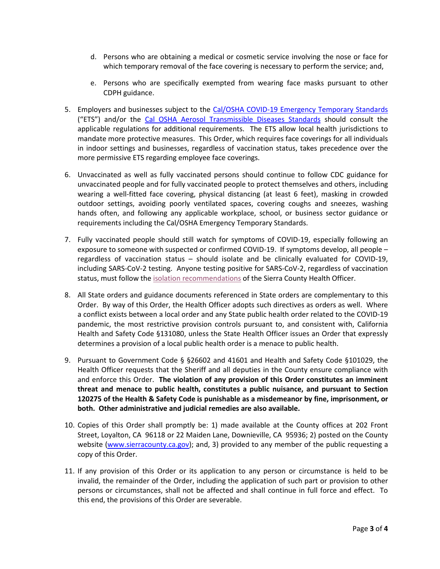- d. Persons who are obtaining a medical or cosmetic service involving the nose or face for which temporary removal of the face covering is necessary to perform the service; and,
- e. Persons who are specifically exempted from wearing face masks pursuant to other CDPH guidance.
- 5. Employers and businesses subject to the [Cal/OSHA COVID-19 Emergency](https://www.dir.ca.gov/dosh/coronavirus/ETS.html) Temporary Standards ("ETS") and/or the [Cal OSHA Aerosol Transmissible Diseases Standards](https://www.dir.ca.gov/dosh/dosh_publications/ATD-Guide.pdf) should consult the applicable regulations for additional requirements. The ETS allow local health jurisdictions to mandate more protective measures. This Order, which requires face coverings for all individuals in indoor settings and businesses, regardless of vaccination status, takes precedence over the more permissive ETS regarding employee face coverings.
- 6. Unvaccinated as well as fully vaccinated persons should continue to follow CDC guidance for unvaccinated people and for fully vaccinated people to protect themselves and others, including wearing a well-fitted face covering, physical distancing (at least 6 feet), masking in crowded outdoor settings, avoiding poorly ventilated spaces, covering coughs and sneezes, washing hands often, and following any applicable workplace, school, or business sector guidance or requirements including the Cal/OSHA Emergency Temporary Standards.
- 7. Fully vaccinated people should still watch for symptoms of COVID-19, especially following an exposure to someone with suspected or confirmed COVID-19. If symptoms develop, all people – regardless of vaccination status – should isolate and be clinically evaluated for COVID-19, including SARS-CoV-2 testing. Anyone testing positive for SARS-CoV-2, regardless of vaccination status, must follow the isolation [recommendations](https://sierracountym365-my.sharepoint.com/personal/rgrandi_sierracounty_ca_gov/Documents/Rhonda/COVID-19/Isolation-Quarantine/1.%20Isolation%20Letter%20-%20CONFIRMED.pdf) of the Sierra County Health Officer.
- 8. All State orders and guidance documents referenced in State orders are complementary to this Order. By way of this Order, the Health Officer adopts such directives as orders as well. Where a conflict exists between a local order and any State public health order related to the COVID-19 pandemic, the most restrictive provision controls pursuant to, and consistent with, California Health and Safety Code §131080, unless the State Health Officer issues an Order that expressly determines a provision of a local public health order is a menace to public health.
- 9. Pursuant to Government Code § §26602 and 41601 and Health and Safety Code §101029, the Health Officer requests that the Sheriff and all deputies in the County ensure compliance with and enforce this Order. **The violation of any provision of this Order constitutes an imminent threat and menace to public health, constitutes a public nuisance, and pursuant to Section 120275 of the Health & Safety Code is punishable as a misdemeanor by fine, imprisonment, or both. Other administrative and judicial remedies are also available.**
- 10. Copies of this Order shall promptly be: 1) made available at the County offices at 202 Front Street, Loyalton, CA 96118 or 22 Maiden Lane, Downieville, CA 95936; 2) posted on the County website [\(www.sierracounty.ca.gov\)](http://www.sierracounty.ca.gov/); and, 3) provided to any member of the public requesting a copy of this Order.
- 11. If any provision of this Order or its application to any person or circumstance is held to be invalid, the remainder of the Order, including the application of such part or provision to other persons or circumstances, shall not be affected and shall continue in full force and effect. To this end, the provisions of this Order are severable.